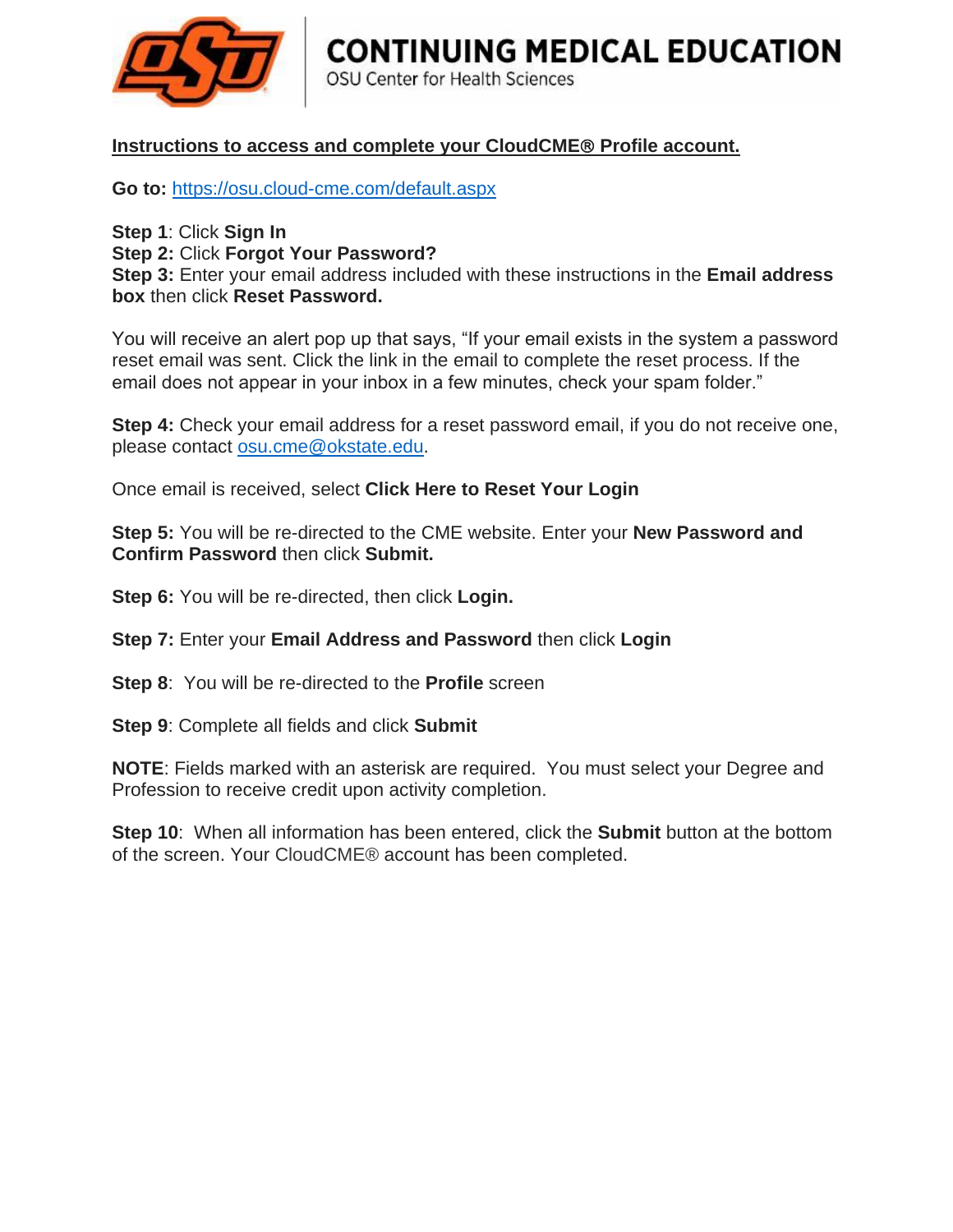

## **CONTINUING MEDICAL EDUCATION**

OSU Center for Health Sciences

## Instructions to access and complete your CloudCME<sup>®</sup> Profile account.

**Go to:** <https://osu.cloud-cme.com/default.aspx>

**Step 1**: Click **Sign In Step 2:** Click **Forgot Your Password? Step 3:** Enter your email address included with these instructions in the **Email address box** then click **Reset Password.** 

You will receive an alert pop up that says, "If your email exists in the system a password reset email was sent. Click the link in the email to complete the reset process. If the email does not appear in your inbox in a few minutes, check your spam folder."

**Step 4:** Check your email address for a reset password email, if you do not receive one, please contact [osu.cme@okstate.edu.](mailto:osu.cme@okstate.edu)

Once email is received, select **Click Here to Reset Your Login**

**Step 5:** You will be re-directed to the CME website. Enter your **New Password and Confirm Password** then click **Submit.**

**Step 6:** You will be re-directed, then click **Login.** 

**Step 7:** Enter your **Email Address and Password** then click **Login**

**Step 8**: You will be re-directed to the **Profile** screen

**Step 9**: Complete all fields and click **Submit**

**NOTE**: Fields marked with an asterisk are required. You must select your Degree and Profession to receive credit upon activity completion.

**Step 10**: When all information has been entered, click the **Submit** button at the bottom of the screen. Your CloudCME® account has been completed.